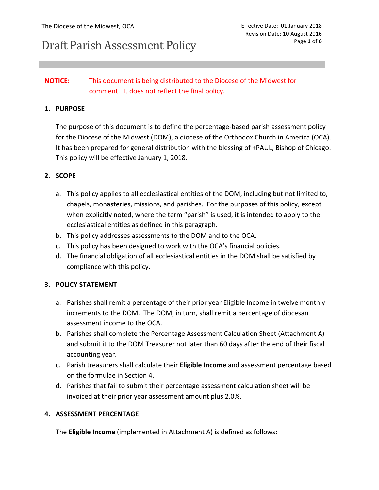# Draft Parish Assessment Policy

## **NOTICE:** This document is being distributed to the Diocese of the Midwest for comment. It does not reflect the final policy.

### **1. PURPOSE**

The purpose of this document is to define the percentage-based parish assessment policy for the Diocese of the Midwest (DOM), a diocese of the Orthodox Church in America (OCA). It has been prepared for general distribution with the blessing of +PAUL, Bishop of Chicago. This policy will be effective January 1, 2018.

### **2. SCOPE**

- a. This policy applies to all ecclesiastical entities of the DOM, including but not limited to, chapels, monasteries, missions, and parishes. For the purposes of this policy, except when explicitly noted, where the term "parish" is used, it is intended to apply to the ecclesiastical entities as defined in this paragraph.
- b. This policy addresses assessments to the DOM and to the OCA.
- c. This policy has been designed to work with the OCA's financial policies.
- d. The financial obligation of all ecclesiastical entities in the DOM shall be satisfied by compliance with this policy.

## **3. POLICY STATEMENT**

- a. Parishes shall remit a percentage of their prior year Eligible Income in twelve monthly increments to the DOM. The DOM, in turn, shall remit a percentage of diocesan assessment income to the OCA.
- b. Parishes shall complete the Percentage Assessment Calculation Sheet (Attachment A) and submit it to the DOM Treasurer not later than 60 days after the end of their fiscal accounting year.
- c. Parish treasurers shall calculate their **Eligible Income** and assessment percentage based on the formulae in Section 4.
- d. Parishes that fail to submit their percentage assessment calculation sheet will be invoiced at their prior year assessment amount plus 2.0%.

#### **4. ASSESSMENT PERCENTAGE**

The **Eligible Income** (implemented in Attachment A) is defined as follows: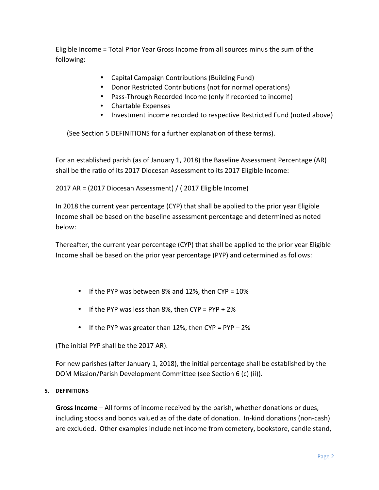Eligible Income = Total Prior Year Gross Income from all sources minus the sum of the following:

- Capital Campaign Contributions (Building Fund)
- Donor Restricted Contributions (not for normal operations)
- Pass-Through Recorded Income (only if recorded to income)
- Chartable Expenses
- Investment income recorded to respective Restricted Fund (noted above)

(See Section 5 DEFINITIONS for a further explanation of these terms).

For an established parish (as of January 1, 2018) the Baseline Assessment Percentage (AR) shall be the ratio of its 2017 Diocesan Assessment to its 2017 Eligible Income:

2017 AR = (2017 Diocesan Assessment) / (2017 Eligible Income)

In 2018 the current year percentage (CYP) that shall be applied to the prior year Eligible Income shall be based on the baseline assessment percentage and determined as noted below:

Thereafter, the current year percentage (CYP) that shall be applied to the prior year Eligible Income shall be based on the prior year percentage (PYP) and determined as follows:

- If the PYP was between 8% and 12%, then  $CYP = 10\%$
- If the PYP was less than 8%, then  $CYP = PYP + 2\%$
- If the PYP was greater than 12%, then  $CYP = PYP 2\%$

(The initial PYP shall be the 2017 AR).

For new parishes (after January 1, 2018), the initial percentage shall be established by the DOM Mission/Parish Development Committee (see Section 6 (c) (ii)).

#### **5. DEFINITIONS**

**Gross Income** – All forms of income received by the parish, whether donations or dues, including stocks and bonds valued as of the date of donation. In-kind donations (non-cash) are excluded. Other examples include net income from cemetery, bookstore, candle stand,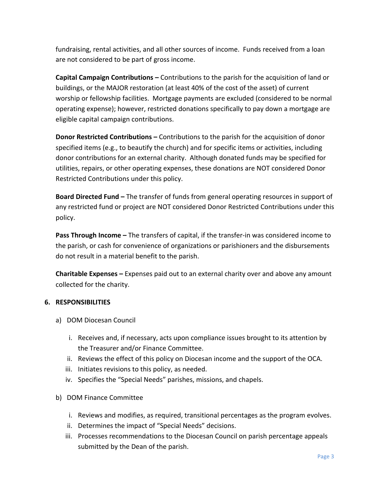fundraising, rental activities, and all other sources of income. Funds received from a loan are not considered to be part of gross income.

**Capital Campaign Contributions** – Contributions to the parish for the acquisition of land or buildings, or the MAJOR restoration (at least 40% of the cost of the asset) of current worship or fellowship facilities. Mortgage payments are excluded (considered to be normal operating expense); however, restricted donations specifically to pay down a mortgage are eligible capital campaign contributions.

**Donor Restricted Contributions –** Contributions to the parish for the acquisition of donor specified items (e.g., to beautify the church) and for specific items or activities, including donor contributions for an external charity. Although donated funds may be specified for utilities, repairs, or other operating expenses, these donations are NOT considered Donor Restricted Contributions under this policy.

**Board Directed Fund** – The transfer of funds from general operating resources in support of any restricted fund or project are NOT considered Donor Restricted Contributions under this policy.

**Pass Through Income** – The transfers of capital, if the transfer-in was considered income to the parish, or cash for convenience of organizations or parishioners and the disbursements do not result in a material benefit to the parish.

**Charitable Expenses** – Expenses paid out to an external charity over and above any amount collected for the charity.

## **6. RESPONSIBILITIES**

- a) DOM Diocesan Council
	- i. Receives and, if necessary, acts upon compliance issues brought to its attention by the Treasurer and/or Finance Committee.
	- ii. Reviews the effect of this policy on Diocesan income and the support of the OCA.
	- iii. Initiates revisions to this policy, as needed.
	- iv. Specifies the "Special Needs" parishes, missions, and chapels.
- b) DOM Finance Committee
	- i. Reviews and modifies, as required, transitional percentages as the program evolves.
	- ii. Determines the impact of "Special Needs" decisions.
	- iii. Processes recommendations to the Diocesan Council on parish percentage appeals submitted by the Dean of the parish.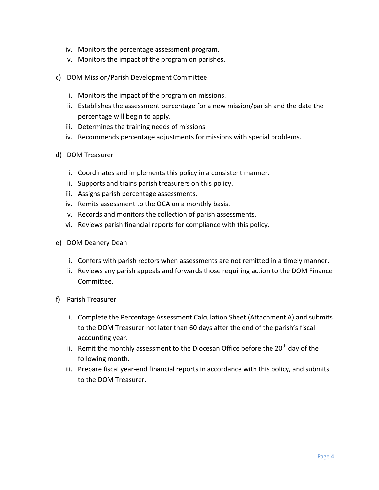- iv. Monitors the percentage assessment program.
- v. Monitors the impact of the program on parishes.
- c) DOM Mission/Parish Development Committee
	- i. Monitors the impact of the program on missions.
	- ii. Establishes the assessment percentage for a new mission/parish and the date the percentage will begin to apply.
	- iii. Determines the training needs of missions.
	- iv. Recommends percentage adjustments for missions with special problems.
- d) DOM Treasurer
	- i. Coordinates and implements this policy in a consistent manner.
	- ii. Supports and trains parish treasurers on this policy.
	- iii. Assigns parish percentage assessments.
	- iv. Remits assessment to the OCA on a monthly basis.
	- v. Records and monitors the collection of parish assessments.
	- vi. Reviews parish financial reports for compliance with this policy.
- e) DOM Deanery Dean
	- i. Confers with parish rectors when assessments are not remitted in a timely manner.
	- ii. Reviews any parish appeals and forwards those requiring action to the DOM Finance Committee.
- f) Parish Treasurer
	- i. Complete the Percentage Assessment Calculation Sheet (Attachment A) and submits to the DOM Treasurer not later than 60 days after the end of the parish's fiscal accounting year.
	- ii. Remit the monthly assessment to the Diocesan Office before the  $20^{th}$  day of the following month.
	- iii. Prepare fiscal year-end financial reports in accordance with this policy, and submits to the DOM Treasurer.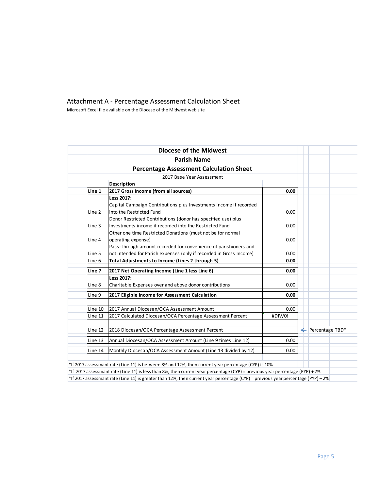## Attachment A - Percentage Assessment Calculation Sheet

Microsoft Excel file available on the Diocese of the Midwest web site

|                   | <b>Percentage Assessment Calculation Sheet</b>                      |         |                              |
|-------------------|---------------------------------------------------------------------|---------|------------------------------|
|                   | 2017 Base Year Assessment                                           |         |                              |
|                   | Description                                                         |         |                              |
| Line 1            | 2017 Gross Income (from all sources)                                | 0.00    |                              |
|                   | Less 2017:                                                          |         |                              |
|                   | Capital Campaign Contributions plus Investments income if recorded  |         |                              |
| Line <sub>2</sub> | into the Restricted Fund                                            | 0.00    |                              |
|                   | Donor Restricted Contributions (donor has specified use) plus       |         |                              |
| Line 3            | Investments income if recorded into the Restricted Fund             | 0.00    |                              |
|                   | Other one time Restricted Donations (must not be for normal         |         |                              |
| Line 4            | operating expense)                                                  | 0.00    |                              |
|                   | Pass-Through amount recorded for convenience of parishioners and    |         |                              |
| Line 5            | not intended for Parish expenses (only if recorded in Gross Income) | 0.00    |                              |
| Line 6            | Total Adjustments to Income (Lines 2 through 5)                     | 0.00    |                              |
| Line 7            | 2017 Net Operating Income (Line 1 less Line 6)                      | 0.00    |                              |
|                   | Less 2017:                                                          |         |                              |
| Line 8            | Charitable Expenses over and above donor contributions              | 0.00    |                              |
| Line 9            | 2017 Eligible Income for Assessment Calculation                     | 0.00    |                              |
| Line 10           | 2017 Annual Diocesan/OCA Assessment Amount                          | 0.00    |                              |
| Line 11           | 2017 Calculated Diocesan/OCA Percentage Assessment Percent          | #DIV/0! |                              |
| Line 12           | 2018 Diocesan/OCA Percentage Assessment Percent                     |         | $\leftarrow$ Percentage TBD* |
|                   | Annual Diocesan/OCA Assessment Amount (Line 9 times Line 12)        | 0.00    |                              |
| Line 13           |                                                                     |         |                              |

\*If 2017 assessmant rate (Line 11) is greater than 12%, then current year percentage (CYP) = previous year percentage (PYP) – 2%